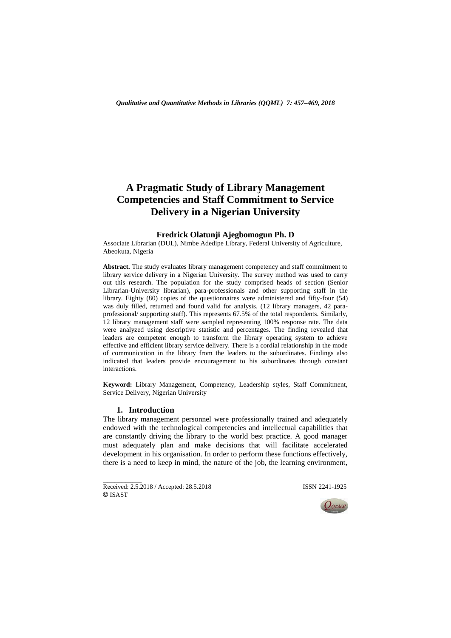# **A Pragmatic Study of Library Management Competencies and Staff Commitment to Service Delivery in a Nigerian University**

# **Fredrick Olatunji Ajegbomogun Ph. D**

Associate Librarian (DUL), Nimbe Adedipe Library, Federal University of Agriculture, Abeokuta, Nigeria

**Abstract.** The study evaluates library management competency and staff commitment to library service delivery in a Nigerian University. The survey method was used to carry out this research. The population for the study comprised heads of section (Senior Librarian-University librarian), para-professionals and other supporting staff in the library. Eighty (80) copies of the questionnaires were administered and fifty-four (54) was duly filled, returned and found valid for analysis. (12 library managers, 42 paraprofessional/ supporting staff). This represents 67.5% of the total respondents. Similarly, 12 library management staff were sampled representing 100% response rate. The data were analyzed using descriptive statistic and percentages. The finding revealed that leaders are competent enough to transform the library operating system to achieve effective and efficient library service delivery. There is a cordial relationship in the mode of communication in the library from the leaders to the subordinates. Findings also indicated that leaders provide encouragement to his subordinates through constant interactions.

**Keyword:** Library Management, Competency, Leadership styles, Staff Commitment, Service Delivery, Nigerian University

#### **1. Introduction**

The library management personnel were professionally trained and adequately endowed with the technological competencies and intellectual capabilities that are constantly driving the library to the world best practice. A good manager must adequately plan and make decisions that will facilitate accelerated development in his organisation. In order to perform these functions effectively, there is a need to keep in mind, the nature of the job, the learning environment,

Received: 2.5.2018 / Accepted: 28.5.2018 **ISSN 2241-1925** © ISAST

 $\overline{\phantom{a}}$  , where  $\overline{\phantom{a}}$ 

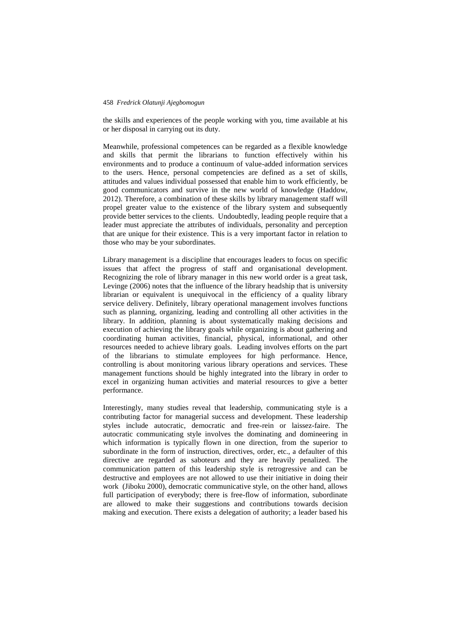the skills and experiences of the people working with you, time available at his or her disposal in carrying out its duty.

Meanwhile, professional competences can be regarded as a flexible knowledge and skills that permit the librarians to function effectively within his environments and to produce a continuum of value-added information services to the users. Hence, personal competencies are defined as a set of skills, attitudes and values individual possessed that enable him to work efficiently, be good communicators and survive in the new world of knowledge (Haddow, 2012). Therefore, a combination of these skills by library management staff will propel greater value to the existence of the library system and subsequently provide better services to the clients. Undoubtedly, leading people require that a leader must appreciate the attributes of individuals, personality and perception that are unique for their existence. This is a very important factor in relation to those who may be your subordinates.

Library management is a discipline that encourages leaders to focus on specific issues that affect the progress of staff and organisational development. Recognizing the role of library manager in this new world order is a great task, Levinge (2006) notes that the influence of the library headship that is university librarian or equivalent is unequivocal in the efficiency of a quality library service delivery. Definitely, library operational management involves functions such as planning, organizing, leading and controlling all other activities in the library. In addition, planning is about systematically making decisions and execution of achieving the library goals while organizing is about gathering and coordinating human activities, financial, physical, informational, and other resources needed to achieve library goals. Leading involves efforts on the part of the librarians to stimulate employees for high performance. Hence, controlling is about monitoring various library operations and services. These management functions should be highly integrated into the library in order to excel in organizing human activities and material resources to give a better performance.

Interestingly, many studies reveal that leadership, communicating style is a contributing factor for managerial success and development. These leadership styles include autocratic, democratic and free-rein or laissez-faire. The autocratic communicating style involves the dominating and domineering in which information is typically flown in one direction, from the superior to subordinate in the form of instruction, directives, order, etc., a defaulter of this directive are regarded as saboteurs and they are heavily penalized. The communication pattern of this leadership style is retrogressive and can be destructive and employees are not allowed to use their initiative in doing their work (Jiboku 2000), democratic communicative style, on the other hand, allows full participation of everybody; there is free-flow of information, subordinate are allowed to make their suggestions and contributions towards decision making and execution. There exists a delegation of authority; a leader based his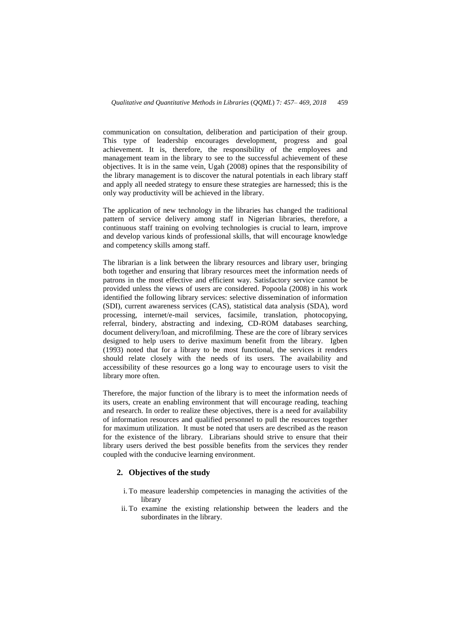communication on consultation, deliberation and participation of their group. This type of leadership encourages development, progress and goal achievement. It is, therefore, the responsibility of the employees and management team in the library to see to the successful achievement of these objectives. It is in the same vein, Ugah (2008) opines that the responsibility of the library management is to discover the natural potentials in each library staff and apply all needed strategy to ensure these strategies are harnessed; this is the only way productivity will be achieved in the library.

The application of new technology in the libraries has changed the traditional pattern of service delivery among staff in Nigerian libraries, therefore, a continuous staff training on evolving technologies is crucial to learn, improve and develop various kinds of professional skills, that will encourage knowledge and competency skills among staff.

The librarian is a link between the library resources and library user, bringing both together and ensuring that library resources meet the information needs of patrons in the most effective and efficient way. Satisfactory service cannot be provided unless the views of users are considered. Popoola (2008) in his work identified the following library services: selective dissemination of information (SDI), current awareness services (CAS), statistical data analysis (SDA), word processing, internet/e-mail services, facsimile, translation, photocopying, referral, bindery, abstracting and indexing, CD-ROM databases searching, document delivery/loan, and microfilming. These are the core of library services designed to help users to derive maximum benefit from the library. Igben (1993) noted that for a library to be most functional, the services it renders should relate closely with the needs of its users. The availability and accessibility of these resources go a long way to encourage users to visit the library more often.

Therefore, the major function of the library is to meet the information needs of its users, create an enabling environment that will encourage reading, teaching and research. In order to realize these objectives, there is a need for availability of information resources and qualified personnel to pull the resources together for maximum utilization. It must be noted that users are described as the reason for the existence of the library. Librarians should strive to ensure that their library users derived the best possible benefits from the services they render coupled with the conducive learning environment.

# **2. Objectives of the study**

- i. To measure leadership competencies in managing the activities of the library
- ii. To examine the existing relationship between the leaders and the subordinates in the library.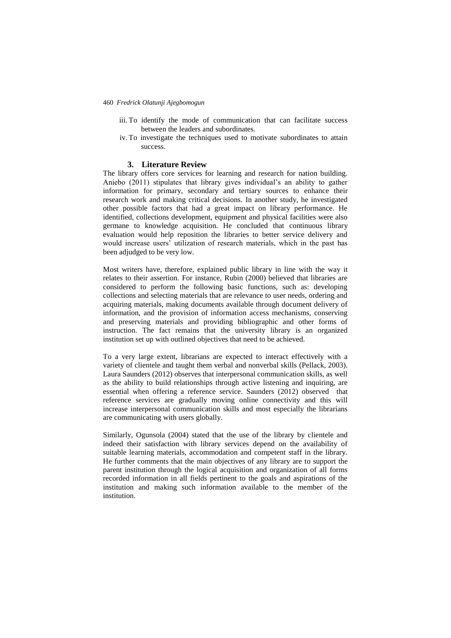- iii. To identify the mode of communication that can facilitate success between the leaders and subordinates.
- iv. To investigate the techniques used to motivate subordinates to attain success.

#### **3. Literature Review**

The library offers core services for learning and research for nation building. Aniebo (2011) stipulates that library gives individual's an ability to gather information for primary, secondary and tertiary sources to enhance their research work and making critical decisions. In another study, he investigated other possible factors that had a great impact on library performance. He identified, collections development, equipment and physical facilities were also germane to knowledge acquisition. He concluded that continuous library evaluation would help reposition the libraries to better service delivery and would increase users' utilization of research materials, which in the past has been adjudged to be very low.

Most writers have, therefore, explained public library in line with the way it relates to their assertion. For instance, Rubin (2000) believed that libraries are considered to perform the following basic functions, such as: developing collections and selecting materials that are relevance to user needs, ordering and acquiring materials, making documents available through document delivery of information, and the provision of information access mechanisms, conserving and preserving materials and providing bibliographic and other forms of instruction. The fact remains that the university library is an organized institution set up with outlined objectives that need to be achieved.

To a very large extent, librarians are expected to interact effectively with a variety of clientele and taught them verbal and nonverbal skills (Pellack, 2003). Laura Saunders (2012) observes that interpersonal communication skills, as well as the ability to build relationships through active listening and inquiring, are essential when offering a reference service. Saunders (2012) observed that reference services are gradually moving online connectivity and this will increase interpersonal communication skills and most especially the librarians are communicating with users globally.

Similarly, Ogunsola (2004) stated that the use of the library by clientele and indeed their satisfaction with library services depend on the availability of suitable learning materials, accommodation and competent staff in the library. He further comments that the main objectives of any library are to support the parent institution through the logical acquisition and organization of all forms recorded information in all fields pertinent to the goals and aspirations of the institution and making such information available to the member of the institution.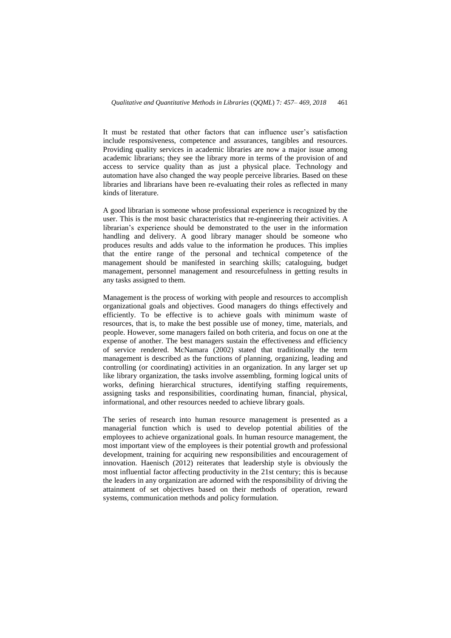It must be restated that other factors that can influence user's satisfaction include responsiveness, competence and assurances, tangibles and resources. Providing quality services in academic libraries are now a major issue among academic librarians; they see the library more in terms of the provision of and access to service quality than as just a physical place. Technology and automation have also changed the way people perceive libraries. Based on these libraries and librarians have been re-evaluating their roles as reflected in many kinds of literature.

A good librarian is someone whose professional experience is recognized by the user. This is the most basic characteristics that re-engineering their activities. A librarian's experience should be demonstrated to the user in the information handling and delivery. A good library manager should be someone who produces results and adds value to the information he produces. This implies that the entire range of the personal and technical competence of the management should be manifested in searching skills; cataloguing, budget management, personnel management and resourcefulness in getting results in any tasks assigned to them.

Management is the process of working with people and resources to accomplish organizational goals and objectives. Good managers do things effectively and efficiently. To be effective is to achieve goals with minimum waste of resources, that is, to make the best possible use of money, time, materials, and people. However, some managers failed on both criteria, and focus on one at the expense of another. The best managers sustain the effectiveness and efficiency of service rendered. McNamara (2002) stated that traditionally the term management is described as the functions of planning, organizing, leading and controlling (or coordinating) activities in an organization. In any larger set up like library organization, the tasks involve assembling, forming logical units of works, defining hierarchical structures, identifying staffing requirements, assigning tasks and responsibilities, coordinating human, financial, physical, informational, and other resources needed to achieve library goals.

The series of research into human resource management is presented as a managerial function which is used to develop potential abilities of the employees to achieve organizational goals. In human resource management, the most important view of the employees is their potential growth and professional development, training for acquiring new responsibilities and encouragement of innovation. Haenisch (2012) reiterates that leadership style is obviously the most influential factor affecting productivity in the 21st century; this is because the leaders in any organization are adorned with the responsibility of driving the attainment of set objectives based on their methods of operation, reward systems, communication methods and policy formulation.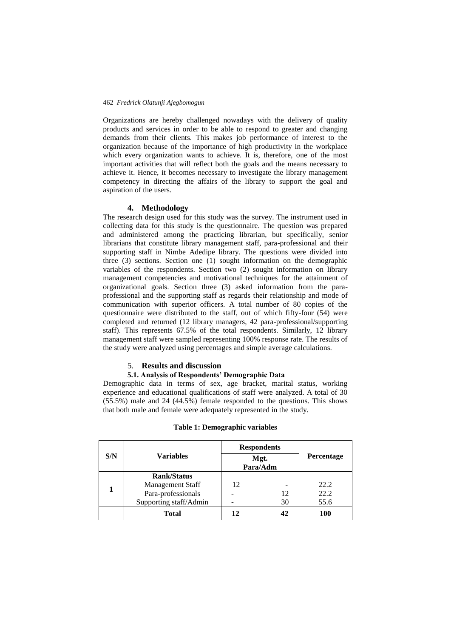Organizations are hereby challenged nowadays with the delivery of quality products and services in order to be able to respond to greater and changing demands from their clients. This makes job performance of interest to the organization because of the importance of high productivity in the workplace which every organization wants to achieve. It is, therefore, one of the most important activities that will reflect both the goals and the means necessary to achieve it. Hence, it becomes necessary to investigate the library management competency in directing the affairs of the library to support the goal and aspiration of the users.

#### **4. Methodology**

The research design used for this study was the survey. The instrument used in collecting data for this study is the questionnaire. The question was prepared and administered among the practicing librarian, but specifically, senior librarians that constitute library management staff, para-professional and their supporting staff in Nimbe Adedipe library. The questions were divided into three (3) sections. Section one (1) sought information on the demographic variables of the respondents. Section two (2) sought information on library management competencies and motivational techniques for the attainment of organizational goals. Section three (3) asked information from the paraprofessional and the supporting staff as regards their relationship and mode of communication with superior officers. A total number of 80 copies of the questionnaire were distributed to the staff, out of which fifty-four (54) were completed and returned (12 library managers, 42 para-professional/supporting staff). This represents 67.5% of the total respondents. Similarly, 12 library management staff were sampled representing 100% response rate. The results of the study were analyzed using percentages and simple average calculations.

#### 5. **Results and discussion**

### **5.1. Analysis of Respondents' Demographic Data**

Demographic data in terms of sex, age bracket, marital status, working experience and educational qualifications of staff were analyzed. A total of 30 (55.5%) male and 24 (44.5%) female responded to the questions. This shows that both male and female were adequately represented in the study.

|     |                         |    | <b>Respondents</b> |                   |
|-----|-------------------------|----|--------------------|-------------------|
| S/N | <b>Variables</b>        |    | Mgt.<br>Para/Adm   | <b>Percentage</b> |
|     | <b>Rank/Status</b>      |    |                    |                   |
|     | <b>Management Staff</b> | 12 |                    | 22.2              |
|     | Para-professionals      |    | 12                 | 22.2              |
|     | Supporting staff/Admin  |    | 30                 | 55.6              |
|     | <b>Total</b>            | 12 |                    | 100               |

## **Table 1: Demographic variables**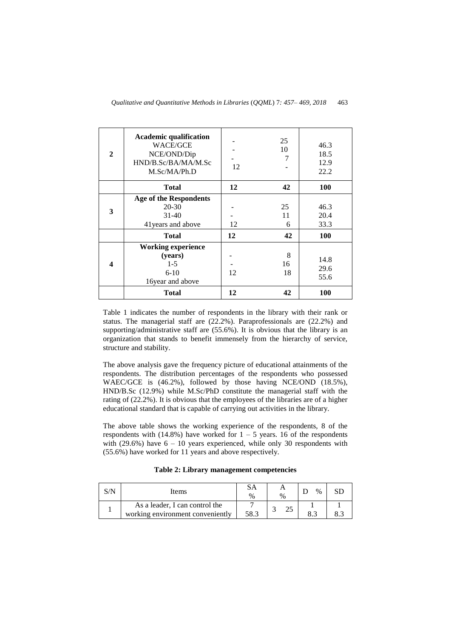| $\mathbf{2}$ | <b>Academic qualification</b><br>WACE/GCE<br>NCE/OND/Dip<br>HND/B.Sc/BA/MA/M.Sc<br>M.Sc/MA/Ph.D | 12 | 25<br>10<br>7 | 46.3<br>18.5<br>12.9<br>22.2 |
|--------------|-------------------------------------------------------------------------------------------------|----|---------------|------------------------------|
|              | <b>Total</b>                                                                                    | 12 | 42            | <b>100</b>                   |
| 3            | <b>Age of the Respondents</b><br>$20 - 30$<br>$31-40$<br>41 years and above                     | 12 | 25<br>11<br>6 | 46.3<br>20.4<br>33.3         |
|              | <b>Total</b>                                                                                    | 12 | 42            | <b>100</b>                   |
| 4            | <b>Working experience</b><br>(years)<br>$1-5$<br>$6-10$<br>16year and above                     | 12 | 8<br>16<br>18 | 14.8<br>29.6<br>55.6         |
|              | <b>Total</b>                                                                                    | 12 | 42            | <b>100</b>                   |

Table 1 indicates the number of respondents in the library with their rank or status. The managerial staff are (22.2%). Paraprofessionals are (22.2%) and supporting/administrative staff are (55.6%). It is obvious that the library is an organization that stands to benefit immensely from the hierarchy of service, structure and stability.

The above analysis gave the frequency picture of educational attainments of the respondents. The distribution percentages of the respondents who possessed WAEC/GCE is (46.2%), followed by those having NCE/OND (18.5%), HND/B.Sc (12.9%) while M.Sc/PhD constitute the managerial staff with the rating of (22.2%). It is obvious that the employees of the libraries are of a higher educational standard that is capable of carrying out activities in the library.

The above table shows the working experience of the respondents, 8 of the respondents with  $(14.8\%)$  have worked for  $1 - 5$  years. 16 of the respondents with (29.6%) have  $6 - 10$  years experienced, while only 30 respondents with (55.6%) have worked for 11 years and above respectively.

**Table 2: Library management competencies**

| Items                                                              | $\%$ | $\%$ | $\%$ |  |
|--------------------------------------------------------------------|------|------|------|--|
| As a leader, I can control the<br>working environment conveniently | 58.3 |      |      |  |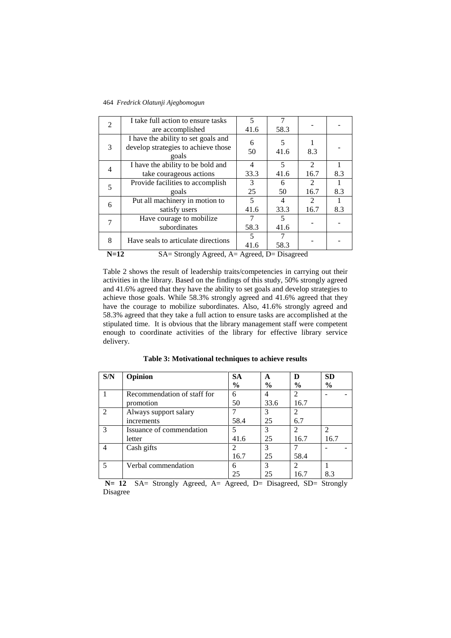| 2              | I take full action to ensure tasks<br>are accomplished                              | $\overline{\phantom{0}}$<br>41.6 | 7<br>58.3 |                                     |     |  |  |
|----------------|-------------------------------------------------------------------------------------|----------------------------------|-----------|-------------------------------------|-----|--|--|
| 3              | I have the ability to set goals and<br>develop strategies to achieve those<br>goals |                                  | 5<br>41.6 | 8.3                                 |     |  |  |
| $\overline{4}$ | I have the ability to be bold and<br>take courageous actions                        | $\overline{4}$<br>33.3           | 5<br>41.6 | $\mathcal{D}_{\mathcal{L}}$<br>16.7 | 8.3 |  |  |
| 5              | Provide facilities to accomplish<br>goals                                           | 3<br>25                          | 6<br>50   | 2<br>16.7                           | 8.3 |  |  |
| 6              | Put all machinery in motion to<br>satisfy users                                     | 5<br>41.6                        | 4<br>33.3 | $\mathcal{L}$<br>16.7               | 8.3 |  |  |
| 7              | Have courage to mobilize<br>subordinates                                            | 58.3                             | 5<br>41.6 |                                     |     |  |  |
| 8              | Have seals to articulate directions                                                 | 41.6                             | 58.3      |                                     |     |  |  |
|                | $N=12$<br>$SA =$ Strongly Agreed, $A =$ Agreed, $D =$ Disagreed                     |                                  |           |                                     |     |  |  |

Table 2 shows the result of leadership traits/competencies in carrying out their activities in the library. Based on the findings of this study, 50% strongly agreed and 41.6% agreed that they have the ability to set goals and develop strategies to achieve those goals. While 58.3% strongly agreed and 41.6% agreed that they have the courage to mobilize subordinates. Also, 41.6% strongly agreed and 58.3% agreed that they take a full action to ensure tasks are accomplished at the stipulated time. It is obvious that the library management staff were competent enough to coordinate activities of the library for effective library service delivery.

| Table 3: Motivational techniques to achieve results |  |  |  |
|-----------------------------------------------------|--|--|--|
|-----------------------------------------------------|--|--|--|

| S/N                         | Opinion                     | <b>SA</b>     | A             | D                           | <b>SD</b>     |
|-----------------------------|-----------------------------|---------------|---------------|-----------------------------|---------------|
|                             |                             | $\frac{6}{6}$ | $\frac{6}{9}$ | $\frac{6}{9}$               | $\frac{6}{6}$ |
|                             | Recommendation of staff for | 6             | 4             |                             |               |
|                             | promotion                   | 50            | 33.6          | 16.7                        |               |
| $\mathcal{D}_{\mathcal{L}}$ | Always support salary       |               | 3             | $\mathfrak{D}$              |               |
|                             | increments                  | 58.4          | 25            | 6.7                         |               |
|                             | Issuance of commendation    | 5             | 3             | $\mathcal{D}_{\mathcal{A}}$ | $\mathcal{D}$ |
|                             | letter                      | 41.6          | 25            | 16.7                        | 16.7          |
|                             | Cash gifts                  | 2             | 3             |                             |               |
|                             |                             | 16.7          | 25            | 58.4                        |               |
| 5                           | Verbal commendation         | 6             | 3             | $\mathfrak{D}$              |               |
|                             |                             | 25            | 25            | 16.7                        | 8.3           |

N= 12 SA= Strongly Agreed, A= Agreed, D= Disagreed, SD= Strongly Disagree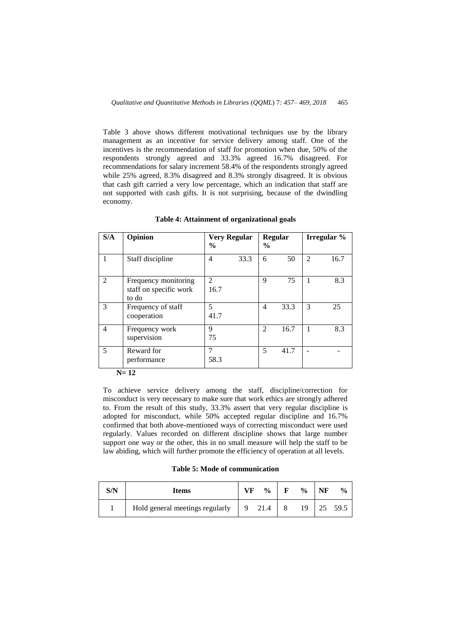Table 3 above shows different motivational techniques use by the library management as an incentive for service delivery among staff. One of the incentives is the recommendation of staff for promotion when due, 50% of the respondents strongly agreed and 33.3% agreed 16.7% disagreed. For recommendations for salary increment 58.4% of the respondents strongly agreed while 25% agreed, 8.3% disagreed and 8.3% strongly disagreed. It is obvious that cash gift carried a very low percentage, which an indication that staff are not supported with cash gifts. It is not surprising, because of the dwindling economy.

| S/A | Opinion                                                 | $\frac{6}{9}$          | <b>Very Regular</b> | $\frac{6}{9}$  | Regular |                | Irregular % |
|-----|---------------------------------------------------------|------------------------|---------------------|----------------|---------|----------------|-------------|
| 1   | Staff discipline                                        | 4                      | 33.3                | 6              | 50      | $\overline{2}$ | 16.7        |
| 2   | Frequency monitoring<br>staff on specific work<br>to do | $\mathfrak{D}$<br>16.7 |                     | $\mathbf Q$    | 75      | 1              | 8.3         |
| 3   | Frequency of staff<br>cooperation                       | 5<br>41.7              |                     | $\overline{4}$ | 33.3    | 3              | 25          |
| 4   | Frequency work<br>supervision                           | 9<br>75                |                     | $\mathfrak{D}$ | 16.7    | 1              | 8.3         |
| 5   | Reward for<br>performance                               | 7<br>58.3              |                     | 5              | 41.7    |                |             |
|     | $N=12$                                                  |                        |                     |                |         |                |             |

**Table 4: Attainment of organizational goals**

To achieve service delivery among the staff, discipline/correction for misconduct is very necessary to make sure that work ethics are strongly adhered to. From the result of this study, 33.3% assert that very regular discipline is adopted for misconduct, while 50% accepted regular discipline and 16.7% confirmed that both above-mentioned ways of correcting misconduct were used regularly. Values recorded on different discipline shows that large number support one way or the other, this in no small measure will help the staff to be law abiding, which will further promote the efficiency of operation at all levels.

**Table 5: Mode of communication**

| S/N | <b>Items</b>                    |     | $\frac{0}{0}$ | F | $\frac{0}{0}$ | NF | $\frac{0}{0}$ |
|-----|---------------------------------|-----|---------------|---|---------------|----|---------------|
|     | Hold general meetings regularly | - 9 | 21.4          |   | 19            | 25 | 59.5          |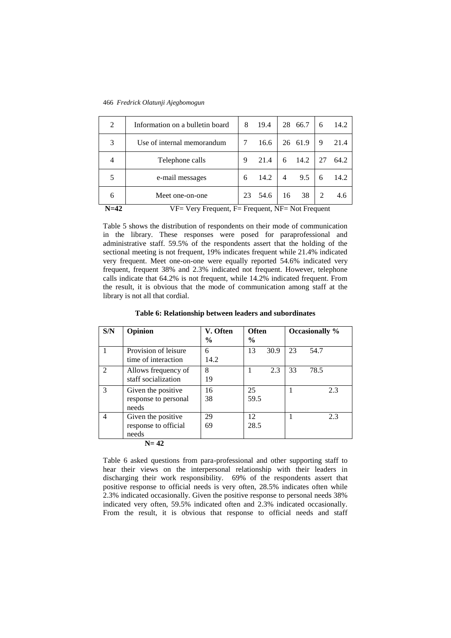| 28 66.7<br>3<br>26 61.9<br>Use of internal memorandum<br>16.6<br>9<br>14.2<br>27<br>Telephone calls<br>21.4<br>9<br>6<br>$\overline{4}$<br>14.2<br>9.5<br>e-mail messages<br>4<br>6<br>6<br>38<br>$\mathfrak{D}$<br>Meet one-on-one<br>54.6<br>16<br>23<br>6 |   |                                 |   |      |  |   |      |
|--------------------------------------------------------------------------------------------------------------------------------------------------------------------------------------------------------------------------------------------------------------|---|---------------------------------|---|------|--|---|------|
|                                                                                                                                                                                                                                                              |   |                                 |   |      |  |   | 4.6  |
|                                                                                                                                                                                                                                                              |   |                                 |   |      |  |   | 14.2 |
|                                                                                                                                                                                                                                                              |   |                                 |   |      |  |   | 64.2 |
|                                                                                                                                                                                                                                                              |   |                                 |   |      |  |   | 21.4 |
|                                                                                                                                                                                                                                                              | 2 | Information on a bulletin board | 8 | 19.4 |  | 6 | 14.2 |

466 *Fredrick Olatunji Ajegbomogun*

N=42 VF= Very Frequent, F= Frequent, NF= Not Frequent

Table 5 shows the distribution of respondents on their mode of communication in the library. These responses were posed for paraprofessional and administrative staff. 59.5% of the respondents assert that the holding of the sectional meeting is not frequent, 19% indicates frequent while 21.4% indicated very frequent. Meet one-on-one were equally reported 54.6% indicated very frequent, frequent 38% and 2.3% indicated not frequent. However, telephone calls indicate that 64.2% is not frequent, while 14.2% indicated frequent. From the result, it is obvious that the mode of communication among staff at the library is not all that cordial.

| S/N            | Opinion                                             | V. Often<br>$\frac{0}{0}$ | <b>Often</b><br>$\frac{6}{9}$ | Occasionally % |
|----------------|-----------------------------------------------------|---------------------------|-------------------------------|----------------|
| 1              | Provision of leisure<br>time of interaction         | 6<br>14.2                 | 13<br>30.9                    | 23<br>54.7     |
| 2              | Allows frequency of<br>staff socialization          | 8<br>19                   | 2.3<br>1                      | 78.5<br>33     |
| 3              | Given the positive<br>response to personal<br>needs | 16<br>38                  | 25<br>59.5                    | 2.3            |
| $\overline{4}$ | Given the positive<br>response to official<br>needs | 29<br>69                  | 12<br>28.5                    | 2.3            |
|                | $N=42$                                              |                           |                               |                |

Table 6 asked questions from para-professional and other supporting staff to hear their views on the interpersonal relationship with their leaders in discharging their work responsibility. 69% of the respondents assert that positive response to official needs is very often, 28.5% indicates often while 2.3% indicated occasionally. Given the positive response to personal needs 38% indicated very often, 59.5% indicated often and 2.3% indicated occasionally. From the result, it is obvious that response to official needs and staff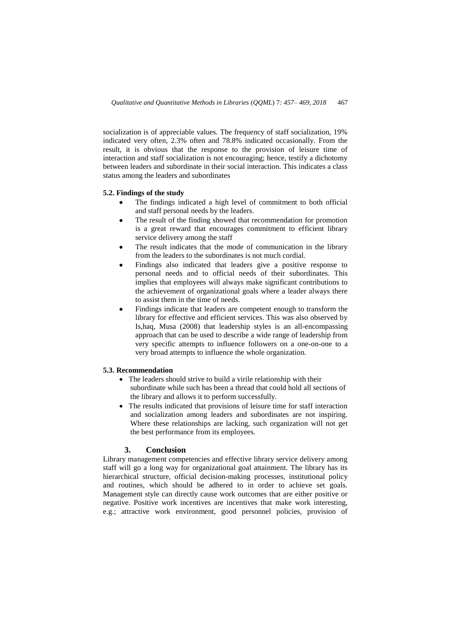socialization is of appreciable values. The frequency of staff socialization, 19% indicated very often, 2.3% often and 78.8% indicated occasionally. From the result, it is obvious that the response to the provision of leisure time of interaction and staff socialization is not encouraging; hence, testify a dichotomy between leaders and subordinate in their social interaction. This indicates a class status among the leaders and subordinates

#### **5.2. Findings of the study**

- The findings indicated a high level of commitment to both official and staff personal needs by the leaders.
- The result of the finding showed that recommendation for promotion is a great reward that encourages commitment to efficient library service delivery among the staff
- The result indicates that the mode of communication in the library from the leaders to the subordinates is not much cordial.
- Findings also indicated that leaders give a positive response to personal needs and to official needs of their subordinates. This implies that employees will always make significant contributions to the achievement of organizational goals where a leader always there to assist them in the time of needs.
- Findings indicate that leaders are competent enough to transform the library for effective and efficient services. This was also observed by Is,haq, Musa (2008) that leadership styles is an all-encompassing approach that can be used to describe a wide range of leadership from very specific attempts to influence followers on a one-on-one to a very broad attempts to influence the whole organization.

# **5.3. Recommendation**

- The leaders should strive to build a virile relationship with their subordinate while such has been a thread that could hold all sections of the library and allows it to perform successfully.
- The results indicated that provisions of leisure time for staff interaction and socialization among leaders and subordinates are not inspiring. Where these relationships are lacking, such organization will not get the best performance from its employees.

# **3. Conclusion**

Library management competencies and effective library service delivery among staff will go a long way for organizational goal attainment. The library has its hierarchical structure, official decision-making processes, institutional policy and routines, which should be adhered to in order to achieve set goals. Management style can directly cause work outcomes that are either positive or negative. Positive work incentives are incentives that make work interesting, e.g.; attractive work environment, good personnel policies, provision of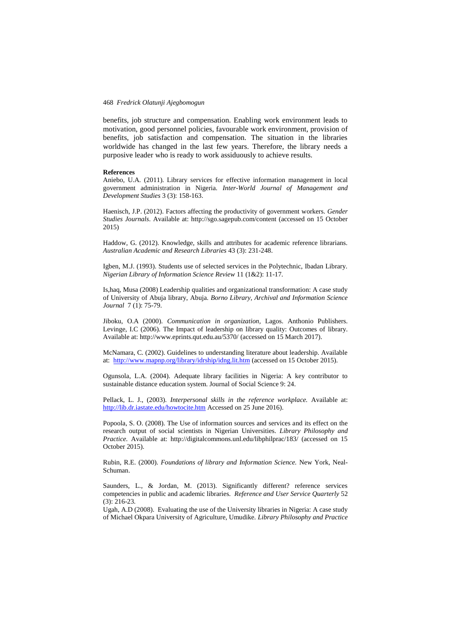benefits, job structure and compensation. Enabling work environment leads to motivation, good personnel policies, favourable work environment, provision of benefits, job satisfaction and compensation. The situation in the libraries worldwide has changed in the last few years. Therefore, the library needs a purposive leader who is ready to work assiduously to achieve results.

#### **References**

Aniebo, U.A. (2011). Library services for effective information management in local government administration in Nigeria. *Inter-World Journal of Management and Development Studies* 3 (3): 158-163.

Haenisch, J.P. (2012). Factors affecting the productivity of government workers. *Gender Studies Journals*. Available at: http://sgo.sagepub.com/content (accessed on 15 October 2015)

Haddow, G. (2012). Knowledge, skills and attributes for academic reference librarians. *Australian Academic and Research Libraries* 43 (3): 231-248.

Igben, M.J. (1993). Students use of selected services in the Polytechnic, Ibadan Library. *Nigerian Library of Information Science Review* 11 (1&2): 11-17.

Is,haq, Musa (2008) Leadership qualities and organizational transformation: A case study of University of Abuja library, Abuja. *Borno Library, Archival and Information Science Journal* 7 (1): 75-79.

Jiboku, O.A (2000). *Communication in organization,* Lagos. Anthonio Publishers. Levinge, I.C (2006). The Impact of leadership on library quality: Outcomes of library. Available at: http://www.eprints.qut.edu.au/5370/ (accessed on 15 March 2017).

McNamara, C. (2002). Guidelines to understanding literature about leadership. Available at:<http://www.mapnp.org/library/idrship/idng.lit.htm> (accessed on 15 October 2015).

Ogunsola, L.A. (2004). Adequate library facilities in Nigeria: A key contributor to sustainable distance education system. Journal of Social Science 9: 24.

Pellack, L. J., (2003). *Interpersonal skills in the reference workplace.* Available at: <http://lib.dr.iastate.edu/howtocite.htm> Accessed on 25 June 2016).

Popoola, S. O. (2008). The Use of information sources and services and its effect on the research output of social scientists in Nigerian Universities. *Library Philosophy and Practice.* Available at: http://digitalcommons.unl.edu/libphilprac/183/ (accessed on 15 October 2015).

Rubin, R.E. (2000). *Foundations of library and Information Science.* New York, Neal-Schuman.

Saunders, L., & Jordan, M. (2013). Significantly different? reference services competencies in public and academic libraries. *Reference and User Service Quarterly* 52 (3): 216-23.

Ugah, A.D (2008). Evaluating the use of the University libraries in Nigeria: A case study of Michael Okpara University of Agriculture, Umudike. *Library Philosophy and Practice*